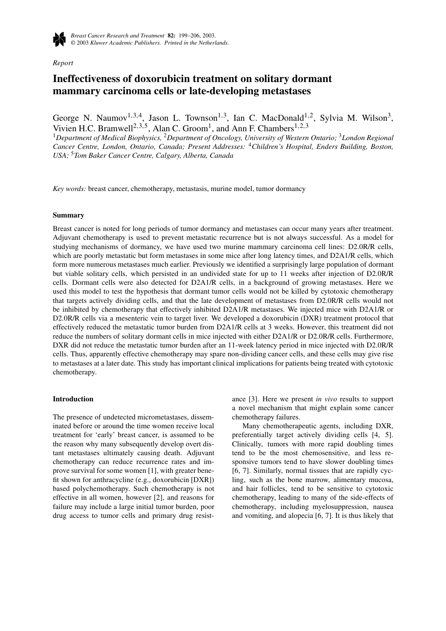

*Report*

# **Ineffectiveness of doxorubicin treatment on solitary dormant mammary carcinoma cells or late-developing metastases**

George N. Naumov<sup>1,3,4</sup>, Jason L. Townson<sup>1,3</sup>, Ian C. MacDonald<sup>1,2</sup>, Sylvia M. Wilson<sup>3</sup>, Vivien H.C. Bramwell<sup>2, 3, 5</sup>, Alan C. Groom<sup>1</sup>, and Ann F. Chambers<sup>1, 2, 3</sup>

<sup>1</sup>*Department of Medical Biophysics,* <sup>2</sup>*Department of Oncology, University of Western Ontario;* <sup>3</sup>*London Regional Cancer Centre, London, Ontario, Canada; Present Addresses:* <sup>4</sup>*Children's Hospital, Enders Building, Boston, USA;* <sup>5</sup>*Tom Baker Cancer Centre, Calgary, Alberta, Canada*

*Key words:* breast cancer, chemotherapy, metastasis, murine model, tumor dormancy

#### **Summary**

Breast cancer is noted for long periods of tumor dormancy and metastases can occur many years after treatment. Adjuvant chemotherapy is used to prevent metastatic recurrence but is not always successful. As a model for studying mechanisms of dormancy, we have used two murine mammary carcinoma cell lines: D2.0R/R cells, which are poorly metastatic but form metastases in some mice after long latency times, and D2A1/R cells, which form more numerous metastases much earlier. Previously we identified a surprisingly large population of dormant but viable solitary cells, which persisted in an undivided state for up to 11 weeks after injection of D2.0R/R cells. Dormant cells were also detected for D2A1/R cells, in a background of growing metastases. Here we used this model to test the hypothesis that dormant tumor cells would not be killed by cytotoxic chemotherapy that targets actively dividing cells, and that the late development of metastases from D2.0R/R cells would not be inhibited by chemotherapy that effectively inhibited D2A1/R metastases. We injected mice with D2A1/R or D2.0R/R cells via a mesenteric vein to target liver. We developed a doxorubicin (DXR) treatment protocol that effectively reduced the metastatic tumor burden from D2A1/R cells at 3 weeks. However, this treatment did not reduce the numbers of solitary dormant cells in mice injected with either D2A1/R or D2.0R/R cells. Furthermore, DXR did not reduce the metastatic tumor burden after an 11-week latency period in mice injected with D2.0R/R cells. Thus, apparently effective chemotherapy may spare non-dividing cancer cells, and these cells may give rise to metastases at a later date. This study has important clinical implications for patients being treated with cytotoxic chemotherapy.

# **Introduction**

The presence of undetected micrometastases, disseminated before or around the time women receive local treatment for 'early' breast cancer, is assumed to be the reason why many subsequently develop overt distant metastases ultimately causing death. Adjuvant chemotherapy can reduce recurrence rates and improve survival for some women [1], with greater benefit shown for anthracycline (e.g., doxorubicin [DXR]) based polychemotherapy. Such chemotherapy is not effective in all women, however [2], and reasons for failure may include a large initial tumor burden, poor drug access to tumor cells and primary drug resistance [3]. Here we present *in vivo* results to support a novel mechanism that might explain some cancer chemotherapy failures.

Many chemotherapeutic agents, including DXR, preferentially target actively dividing cells [4, 5]. Clinically, tumors with more rapid doubling times tend to be the most chemosensitive, and less responsive tumors tend to have slower doubling times [6, 7]. Similarly, normal tissues that are rapidly cycling, such as the bone marrow, alimentary mucosa, and hair follicles, tend to be sensitive to cytotoxic chemotherapy, leading to many of the side-effects of chemotherapy, including myelosuppression, nausea and vomiting, and alopecia [6, 7]. It is thus likely that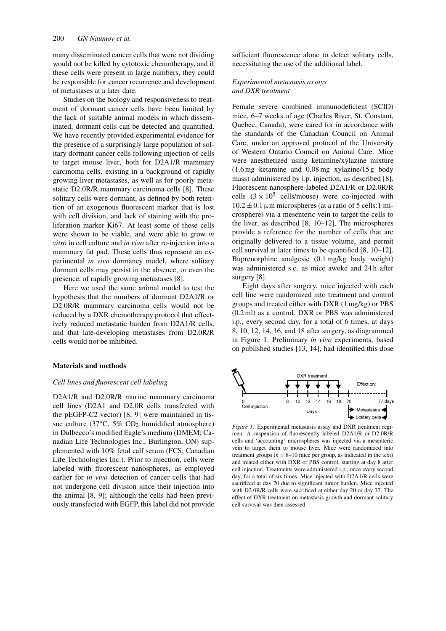many disseminated cancer cells that were not dividing would not be killed by cytotoxic chemotherapy, and if these cells were present in large numbers, they could be responsible for cancer recurrence and development of metastases at a later date.

Studies on the biology and responsiveness to treatment of dormant cancer cells have been limited by the lack of suitable animal models in which disseminated, dormant cells can be detected and quantified. We have recently provided experimental evidence for the presence of a surprisingly large population of solitary dormant cancer cells following injection of cells to target mouse liver, both for D2A1/R mammary carcinoma cells, existing in a background of rapidly growing liver metastases, as well as for poorly metastatic D2.0R/R mammary carcinoma cells [8]. These solitary cells were dormant, as defined by both retention of an exogenous fluorescent marker that is lost with cell division, and lack of staining with the proliferation marker Ki67. At least some of these cells were shown to be viable, and were able to grow *in vitro* in cell culture and *in vivo* after re-injection into a mammary fat pad. These cells thus represent an experimental *in vivo* dormancy model, where solitary dormant cells may persist in the absence, or even the presence, of rapidly growing metastases [8].

Here we used the same animal model to test the hypothesis that the numbers of dormant D2A1/R or D2.0R/R mammary carcinoma cells would not be reduced by a DXR chemotherapy protocol that effectively reduced metastatic burden from D2A1/R cells, and that late-developing metastases from D2.0R/R cells would not be inhibited.

# **Materials and methods**

# *Cell lines and fluorescent cell labeling*

D2A1/R and D2.0R/R murine mammary carcinoma cell lines (D2A1 and D2.0R cells transfected with the pEGFP-C2 vector) [8, 9] were maintained in tissue culture (37 $\degree$ C, 5% CO<sub>2</sub> humidified atmosphere) in Dulbecco's modified Eagle's medium (DMEM; Canadian Life Technologies Inc., Burlington, ON) supplemented with 10% fetal calf serum (FCS; Canadian Life Technologies Inc.). Prior to injection, cells were labeled with fluorescent nanospheres, as employed earlier for *in vivo* detection of cancer cells that had not undergone cell division since their injection into the animal [8, 9]; although the cells had been previously transfected with EGFP, this label did not provide sufficient fluorescence alone to detect solitary cells, necessitating the use of the additional label.

# *Experimental metastasis assays and DXR treatment*

Female severe combined immunodeficient (SCID) mice, 6–7 weeks of age (Charles River, St. Constant, Quebec, Canada), were cared for in accordance with the standards of the Canadian Council on Animal Care, under an approved protocol of the University of Western Ontario Council on Animal Care. Mice were anesthetized using ketamine/xylazine mixture (1.6 mg ketamine and 0.08 mg xylazine/15 g body mass) administered by i.p. injection, as described [8]. Fluorescent nanosphere-labeled D2A1/R or D2.0R/R cells  $(3 \times 10^5 \text{ cells/mouse})$  were co-injected with  $10.2 \pm 0.1 \,\mu$ m microspheres (at a ratio of 5 cells:1 microsphere) via a mesenteric vein to target the cells to the liver, as described [8, 10–12]. The microspheres provide a reference for the number of cells that are originally delivered to a tissue volume, and permit cell survival at later times to be quantified [8, 10–12]. Buprenorphine analgesic (0.1 mg/kg body weight) was administered s.c. as mice awoke and 24 h after surgery [8].

Eight days after surgery, mice injected with each cell line were randomized into treatment and control groups and treated either with DXR (1 mg/kg) or PBS (0.2 ml) as a control. DXR or PBS was administered i.p., every second day, for a total of 6 times, at days 8, 10, 12, 14, 16, and 18 after surgery, as diagrammed in Figure 1. Preliminary *in vivo* experiments, based on published studies [13, 14], had identified this dose



*Figure 1.* Experimental metastasis assay and DXR treatment regimen. A suspension of fluorescently labeled D2A1/R or D2.0R/R cells and 'accounting' microspheres was injected via a mesenteric vein to target them to mouse liver. Mice were randomized into treatment groups  $(n = 8-10)$  mice per group, as indicated in the text) and treated either with DXR or PBS control, starting at day 8 after cell injection. Treatments were administered i.p., once every second day, for a total of six times. Mice injected with D2A1/R cells were sacrificed at day 20 due to significant tumor burden. Mice injected with D2.0R/R cells were sacrificed at either day 20 or day 77. The effect of DXR treatment on metastasis growth and dormant solitary cell survival was then assessed.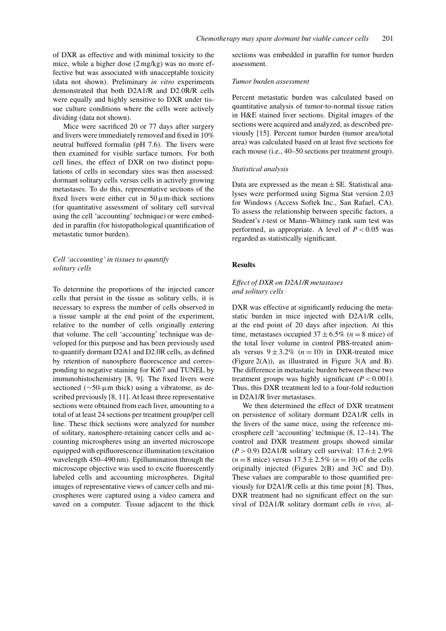of DXR as effective and with minimal toxicity to the mice, while a higher dose (2 mg/kg) was no more effective but was associated with unacceptable toxicity (data not shown). Preliminary *in vitro* experiments demonstrated that both D2A1/R and D2.0R/R cells were equally and highly sensitive to DXR under tissue culture conditions where the cells were actively dividing (data not shown).

Mice were sacrificed 20 or 77 days after surgery and livers were immediately removed and fixed in 10% neutral buffered formalin (pH 7.6). The livers were then examined for visible surface tumors. For both cell lines, the effect of DXR on two distinct populations of cells in secondary sites was then assessed: dormant solitary cells versus cells in actively growing metastases. To do this, representative sections of the fixed livers were either cut in  $50 \mu$ m-thick sections (for quantitative assessment of solitary cell survival using the cell 'accounting' technique) or were embedded in paraffin (for histopathological quantification of metastatic tumor burden).

# *Cell 'accounting' in tissues to quantify solitary cells*

To determine the proportions of the injected cancer cells that persist in the tissue as solitary cells, it is necessary to express the number of cells observed in a tissue sample at the end point of the experiment, relative to the number of cells originally entering that volume. The cell 'accounting' technique was developed for this purpose and has been previously used to quantify dormant D2A1 and D2.0R cells, as defined by retention of nanosphere fluorescence and corresponding to negative staining for Ki67 and TUNEL by immunohistochemistry [8, 9]. The fixed livers were sectioned (∼50-μm thick) using a vibratome, as described previously [8, 11]. At least three representative sections were obtained from each liver, amounting to a total of at least 24 sections per treatment group/per cell line. These thick sections were analyzed for number of solitary, nanosphere-retaining cancer cells and accounting microspheres using an inverted microscope equipped with epifluorescence illumination (excitation wavelength 450–490 nm). Epillumination through the microscope objective was used to excite fluorescently labeled cells and accounting microspheres. Digital images of representative views of cancer cells and microspheres were captured using a video camera and saved on a computer. Tissue adjacent to the thick sections was embedded in paraffin for tumor burden assessment.

# *Tumor burden assessment*

Percent metastatic burden was calculated based on quantitative analysis of tumor-to-normal tissue ratios in H&E stained liver sections. Digital images of the sections were acquired and analyzed, as described previously [15]. Percent tumor burden (tumor area/total area) was calculated based on at least five sections for each mouse (i.e., 40–50 sections per treatment group).

#### *Statistical analysis*

Data are expressed as the mean  $\pm$  SE. Statistical analyses were performed using Sigma Stat version 2.03 for Windows (Access Softek Inc., San Rafael, CA). To assess the relationship between specific factors, a Student's *t*-test or Mann–Whitney rank sum test was performed, as appropriate. A level of  $P < 0.05$  was regarded as statistically significant.

# **Results**

# *Effect of DXR on D2A1/R metastases and solitary cells*

DXR was effective at significantly reducing the metastatic burden in mice injected with D2A1/R cells, at the end point of 20 days after injection. At this time, metastases occupied  $37 \pm 6.5\%$  ( $n = 8$  mice) of the total liver volume in control PBS-treated animals versus  $9 \pm 3.2\%$  ( $n = 10$ ) in DXR-treated mice (Figure 2(A)), as illustrated in Figure 3(A and B). The difference in metastatic burden between these two treatment groups was highly significant  $(P < 0.001)$ . Thus, this DXR treatment led to a four-fold reduction in D2A1/R liver metastases.

We then determined the effect of DXR treatment on persistence of solitary dormant D2A1/R cells in the livers of the same mice, using the reference microsphere cell 'accounting' technique (8, 12–14). The control and DXR treatment groups showed similar  $(P > 0.9)$  D2A1/R solitary cell survival:  $17.6 \pm 2.9\%$  $(n = 8 \text{ mice})$  versus  $17.5 \pm 2.5\%$   $(n = 10)$  of the cells originally injected (Figures 2(B) and 3(C and D)). These values are comparable to those quantified previously for D2A1/R cells at this time point [8]. Thus, DXR treatment had no significant effect on the survival of D2A1/R solitary dormant cells *in vivo*, al-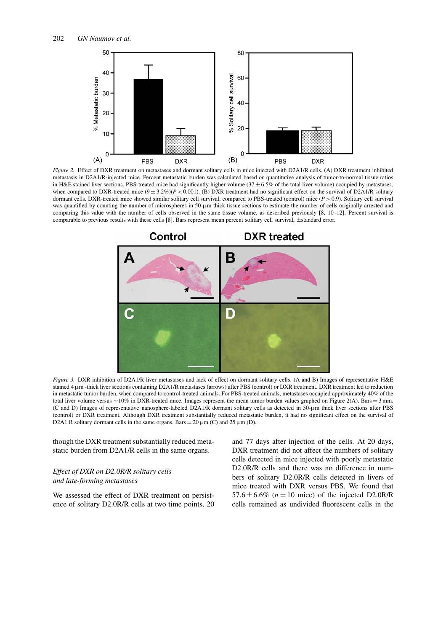

*Figure 2.* Effect of DXR treatment on metastases and dormant solitary cells in mice injected with D2A1/R cells. (A) DXR treatment inhibited metastasis in D2A1/R-injected mice. Percent metastatic burden was calculated based on quantitative analysis of tumor-to-normal tissue ratios in H&E stained liver sections. PBS-treated mice had significantly higher volume ( $37 \pm 6.5\%$  of the total liver volume) occupied by metastases, when compared to DXR-treated mice  $(9 \pm 3.2\%)$   $(P < 0.001)$ . (B) DXR treatment had no significant effect on the survival of D2A1/R solitary dormant cells. DXR-treated mice showed similar solitary cell survival, compared to PBS-treated (control) mice (*P >* 0.9). Solitary cell survival was quantified by counting the number of microspheres in 50-µm thick tissue sections to estimate the number of cells originally arrested and comparing this value with the number of cells observed in the same tissue volume, as described previously [8, 10–12]. Percent survival is comparable to previous results with these cells [8]. Bars represent mean percent solitary cell survival, ±standard error.



*Figure 3.* DXR inhibition of D2A1/R liver metastases and lack of effect on dormant solitary cells. (A and B) Images of representative H&E stained 4  $\mu$ m -thick liver sections containing D2A1/R metastases (arrows) after PBS (control) or DXR treatment. DXR treatment led to reduction in metastatic tumor burden, when compared to control-treated animals. For PBS-treated animals, metastases occupied approximately 40% of the total liver volume versus ∼10% in DXR-treated mice. Images represent the mean tumor burden values graphed on Figure 2(A). Bars = 3 mm. (C and D) Images of representative nanosphere-labeled D2A1/R dormant solitary cells as detected in 50-µm thick liver sections after PBS (control) or DXR treatment. Although DXR treatment substantially reduced metastatic burden, it had no significant effect on the survival of D2A1.R solitary dormant cells in the same organs. Bars =  $20 \mu$ m (C) and  $25 \mu$ m (D).

though the DXR treatment substantially reduced metastatic burden from D2A1/R cells in the same organs.

# *Effect of DXR on D2.0R/R solitary cells and late-forming metastases*

We assessed the effect of DXR treatment on persistence of solitary D2.0R/R cells at two time points, 20 and 77 days after injection of the cells. At 20 days, DXR treatment did not affect the numbers of solitary cells detected in mice injected with poorly metastatic D2.0R/R cells and there was no difference in numbers of solitary D2.0R/R cells detected in livers of mice treated with DXR versus PBS. We found that  $57.6 \pm 6.6\%$  ( $n = 10$  mice) of the injected D2.0R/R cells remained as undivided fluorescent cells in the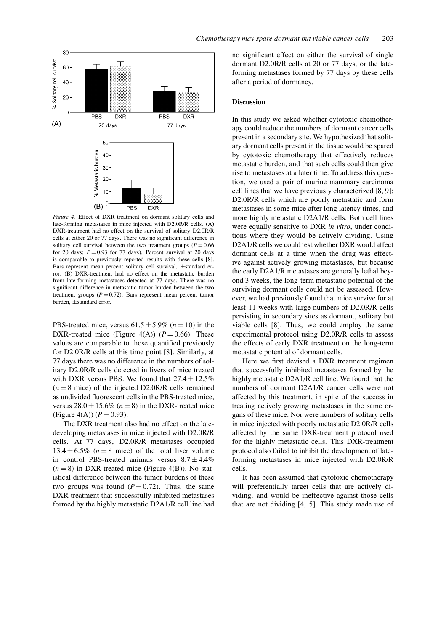

*Figure 4.* Effect of DXR treatment on dormant solitary cells and late-forming metastases in mice injected with D2.0R/R cells. (A) DXR-treatment had no effect on the survival of solitary D2.0R/R cells at either 20 or 77 days. There was no significant difference in solitary cell survival between the two treatment groups  $(P = 0.66$ for 20 days;  $P = 0.93$  for 77 days). Percent survival at 20 days is comparable to previously reported results with these cells [8]. Bars represent mean percent solitary cell survival, ±standard error. (B) DXR-treatment had no effect on the metastatic burden from late-forming metastases detected at 77 days. There was no significant difference in metastatic tumor burden between the two treatment groups  $(P = 0.72)$ . Bars represent mean percent tumor burden, ±standard error.

PBS-treated mice, versus  $61.5 \pm 5.9\%$  ( $n = 10$ ) in the DXR-treated mice (Figure  $4(A)$ ) ( $P = 0.66$ ). These values are comparable to those quantified previously for D2.0R/R cells at this time point [8]. Similarly, at 77 days there was no difference in the numbers of solitary D2.0R/R cells detected in livers of mice treated with DXR versus PBS. We found that  $27.4 \pm 12.5\%$  $(n = 8 \text{ mice})$  of the injected D2.0R/R cells remained as undivided fluorescent cells in the PBS-treated mice, versus  $28.0 \pm 15.6\%$  ( $n = 8$ ) in the DXR-treated mice (Figure 4(A))  $(P = 0.93)$ .

The DXR treatment also had no effect on the latedeveloping metastases in mice injected with D2.0R/R cells. At 77 days, D2.0R/R metastases occupied  $13.4 \pm 6.5\%$  ( $n = 8$  mice) of the total liver volume in control PBS-treated animals versus  $8.7 \pm 4.4\%$  $(n = 8)$  in DXR-treated mice (Figure 4(B)). No statistical difference between the tumor burdens of these two groups was found  $(P = 0.72)$ . Thus, the same DXR treatment that successfully inhibited metastases formed by the highly metastatic D2A1/R cell line had no significant effect on either the survival of single dormant D2.0R/R cells at 20 or 77 days, or the lateforming metastases formed by 77 days by these cells after a period of dormancy.

# **Discussion**

In this study we asked whether cytotoxic chemotherapy could reduce the numbers of dormant cancer cells present in a secondary site. We hypothesized that solitary dormant cells present in the tissue would be spared by cytotoxic chemotherapy that effectively reduces metastatic burden, and that such cells could then give rise to metastases at a later time. To address this question, we used a pair of murine mammary carcinoma cell lines that we have previously characterized [8, 9]: D2.0R/R cells which are poorly metastatic and form metastases in some mice after long latency times, and more highly metastatic D2A1/R cells. Both cell lines were equally sensitive to DXR *in vitro*, under conditions where they would be actively dividing. Using D2A1/R cells we could test whether DXR would affect dormant cells at a time when the drug was effective against actively growing metastases, but because the early D2A1/R metastases are generally lethal beyond 3 weeks, the long-term metastatic potential of the surviving dormant cells could not be assessed. However, we had previously found that mice survive for at least 11 weeks with large numbers of D2.0R/R cells persisting in secondary sites as dormant, solitary but viable cells [8]. Thus, we could employ the same experimental protocol using D2.0R/R cells to assess the effects of early DXR treatment on the long-term metastatic potential of dormant cells.

Here we first devised a DXR treatment regimen that successfully inhibited metastases formed by the highly metastatic D2A1/R cell line. We found that the numbers of dormant D2A1/R cancer cells were not affected by this treatment, in spite of the success in treating actively growing metastases in the same organs of these mice. Nor were numbers of solitary cells in mice injected with poorly metastatic D2.0R/R cells affected by the same DXR-treatment protocol used for the highly metastatic cells. This DXR-treatment protocol also failed to inhibit the development of lateforming metastases in mice injected with D2.0R/R cells.

It has been assumed that cytotoxic chemotherapy will preferentially target cells that are actively dividing, and would be ineffective against those cells that are not dividing [4, 5]. This study made use of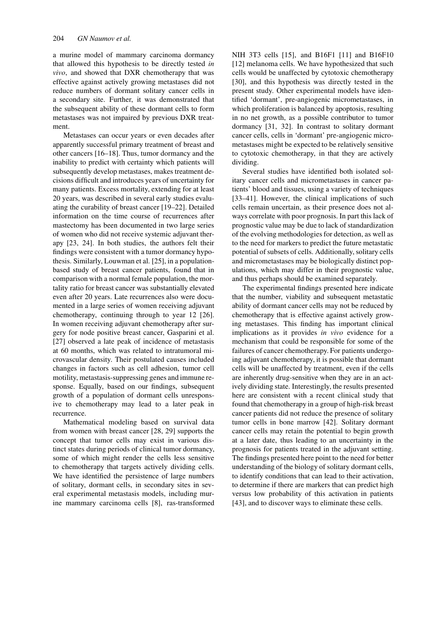a murine model of mammary carcinoma dormancy that allowed this hypothesis to be directly tested *in vivo*, and showed that DXR chemotherapy that was effective against actively growing metastases did not reduce numbers of dormant solitary cancer cells in a secondary site. Further, it was demonstrated that the subsequent ability of these dormant cells to form metastases was not impaired by previous DXR treatment.

Metastases can occur years or even decades after apparently successful primary treatment of breast and other cancers [16–18]. Thus, tumor dormancy and the inability to predict with certainty which patients will subsequently develop metastases, makes treatment decisions difficult and introduces years of uncertainty for many patients. Excess mortality, extending for at least 20 years, was described in several early studies evaluating the curability of breast cancer [19–22]. Detailed information on the time course of recurrences after mastectomy has been documented in two large series of women who did not receive systemic adjuvant therapy [23, 24]. In both studies, the authors felt their findings were consistent with a tumor dormancy hypothesis. Similarly, Louwman et al. [25], in a populationbased study of breast cancer patients, found that in comparison with a normal female population, the mortality ratio for breast cancer was substantially elevated even after 20 years. Late recurrences also were documented in a large series of women receiving adjuvant chemotherapy, continuing through to year 12 [26]. In women receiving adjuvant chemotherapy after surgery for node positive breast cancer, Gasparini et al. [27] observed a late peak of incidence of metastasis at 60 months, which was related to intratumoral microvascular density. Their postulated causes included changes in factors such as cell adhesion, tumor cell motility, metastasis-suppressing genes and immune response. Equally, based on our findings, subsequent growth of a population of dormant cells unresponsive to chemotherapy may lead to a later peak in recurrence.

Mathematical modeling based on survival data from women with breast cancer [28, 29] supports the concept that tumor cells may exist in various distinct states during periods of clinical tumor dormancy, some of which might render the cells less sensitive to chemotherapy that targets actively dividing cells. We have identified the persistence of large numbers of solitary, dormant cells, in secondary sites in several experimental metastasis models, including murine mammary carcinoma cells [8], ras-transformed NIH 3T3 cells [15], and B16F1 [11] and B16F10 [12] melanoma cells. We have hypothesized that such cells would be unaffected by cytotoxic chemotherapy [30], and this hypothesis was directly tested in the present study. Other experimental models have identified 'dormant', pre-angiogenic micrometastases, in which proliferation is balanced by apoptosis, resulting in no net growth, as a possible contributor to tumor dormancy [31, 32]. In contrast to solitary dormant cancer cells, cells in 'dormant' pre-angiogenic micrometastases might be expected to be relatively sensitive to cytotoxic chemotherapy, in that they are actively dividing.

Several studies have identified both isolated solitary cancer cells and micrometastases in cancer patients' blood and tissues, using a variety of techniques [33–41]. However, the clinical implications of such cells remain uncertain, as their presence does not always correlate with poor prognosis. In part this lack of prognostic value may be due to lack of standardization of the evolving methodologies for detection, as well as to the need for markers to predict the future metastatic potential of subsets of cells. Additionally, solitary cells and micrometastases may be biologically distinct populations, which may differ in their prognostic value, and thus perhaps should be examined separately.

The experimental findings presented here indicate that the number, viability and subsequent metastatic ability of dormant cancer cells may not be reduced by chemotherapy that is effective against actively growing metastases. This finding has important clinical implications as it provides *in vivo* evidence for a mechanism that could be responsible for some of the failures of cancer chemotherapy. For patients undergoing adjuvant chemotherapy, it is possible that dormant cells will be unaffected by treatment, even if the cells are inherently drug-sensitive when they are in an actively dividing state. Interestingly, the results presented here are consistent with a recent clinical study that found that chemotherapy in a group of high-risk breast cancer patients did not reduce the presence of solitary tumor cells in bone marrow [42]. Solitary dormant cancer cells may retain the potential to begin growth at a later date, thus leading to an uncertainty in the prognosis for patients treated in the adjuvant setting. The findings presented here point to the need for better understanding of the biology of solitary dormant cells, to identify conditions that can lead to their activation, to determine if there are markers that can predict high versus low probability of this activation in patients [43], and to discover ways to eliminate these cells.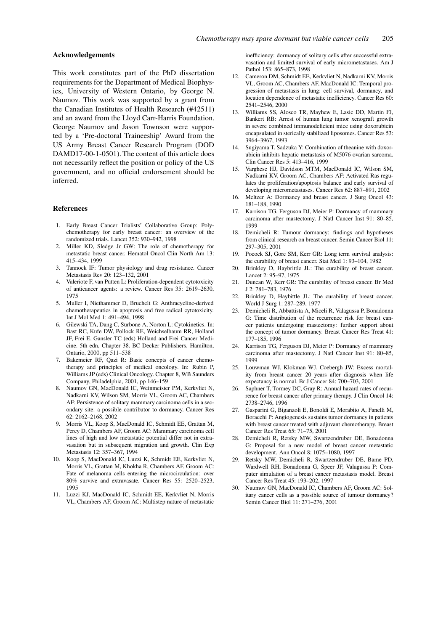# **Acknowledgements**

This work constitutes part of the PhD dissertation requirements for the Department of Medical Biophysics, University of Western Ontario, by George N. Naumov. This work was supported by a grant from the Canadian Institutes of Health Research (#42511) and an award from the Lloyd Carr-Harris Foundation. George Naumov and Jason Townson were supported by a 'Pre-doctoral Traineeship' Award from the US Army Breast Cancer Research Program (DOD DAMD17-00-1-0501). The content of this article does not necessarily reflect the position or policy of the US government, and no official endorsement should be inferred.

# **References**

- 1. Early Breast Cancer Trialists' Collaborative Group: Polychemotherapy for early breast cancer: an overview of the randomized trials. Lancet 352: 930–942, 1998
- 2. Miller KD, Sledge Jr GW: The role of chemotherapy for metastatic breast cancer. Hematol Oncol Clin North Am 13: 415–434, 1999
- 3. Tannock IF: Tumor physiology and drug resistance. Cancer Metastasis Rev 20: 123–132, 2001
- Valeriote F, van Putten L: Proliferation-dependent cytotoxicity of anticancer agents: a review. Cancer Res 35: 2619–2630, 1975
- 5. Muller I, Niethammer D, Bruchelt G: Anthracycline-derived chemotherapeutics in apoptosis and free radical cytotoxicity. Int J Mol Med 1: 491–494, 1998
- 6. Gilewski TA, Dang C, Surbone A, Norton L: Cytokinetics. In: Bast RC, Kufe DW, Pollock RE, Weichselbaum RR, Holland JF, Frei E, Gansler TC (eds) Holland and Frei Cancer Medicine. 5th edn, Chapter 38. BC Decker Publishers, Hamilton, Ontario, 2000, pp 511–538
- 7. Bakemeier RF, Qazi R: Basic concepts of cancer chemotherapy and principles of medical oncology. In: Rubin P, Williams JP (eds) Clinical Oncology. Chapter 8, WB Saunders Company, Philadelphia, 2001, pp 146–159
- 8. Naumov GN, MacDonald IC, Weinmeister PM, Kerkvliet N, Nadkarni KV, Wilson SM, Morris VL, Groom AC, Chambers AF: Persistence of solitary mammary carcinoma cells in a secondary site: a possible contributor to dormancy. Cancer Res 62: 2162–2168, 2002
- 9. Morris VL, Koop S, MacDonald IC, Schmidt EE, Grattan M, Percy D, Chambers AF, Groom AC: Mammary carcinoma cell lines of high and low metastatic potential differ not in extravasation but in subsequent migration and growth. Clin Exp Metastasis 12: 357–367, 1994
- 10. Koop S, MacDonald IC, Luzzi K, Schmidt EE, Kerkvliet N, Morris VL, Grattan M, Khokha R, Chambers AF, Groom AC: Fate of melanoma cells entering the microcirculation: over 80% survive and extravasate. Cancer Res 55: 2520–2523, 1995
- 11. Luzzi KJ, MacDonald IC, Schmidt EE, Kerkvliet N, Morris VL, Chambers AF, Groom AC: Multistep nature of metastatic

inefficiency: dormancy of solitary cells after successful extravasation and limited survival of early micrometastases. Am J Pathol 153: 865–873, 1998

- 12. Cameron DM, Schmidt EE, Kerkvliet N, Nadkarni KV, Morris VL, Groom AC, Chambers AF, MacDonald IC: Temporal progression of metastasis in lung: cell survival, dormancy, and location dependence of metastatic inefficiency. Cancer Res 60: 2541–2546, 2000
- 13. Williams SS, Alosco TR, Mayhew E, Lasic DD, Martin FJ, Bankert RB: Arrest of human lung tumor xenograft growth in severe combined immunodeficient mice using doxorubicin encapsulated in sterically stabilized liposomes. Cancer Res 53: 3964–3967, 1993
- 14. Sugiyama T, Sadzuka Y: Combination of theanine with doxorubicin inhibits hepatic metastasis of M5076 ovarian sarcoma. Clin Cancer Res 5: 413–416, 1999
- 15. Varghese HJ, Davidson MTM, MacDonald IC, Wilson SM, Nadkarni KV, Groom AC, Chambers AF: Activated Ras regulates the proliferation/apoptosis balance and early survival of developing micrometastases. Cancer Res 62: 887–891, 2002
- 16. Meltzer A: Dormancy and breast cancer. J Surg Oncol 43: 181–188, 1990
- 17. Karrison TG, Ferguson DJ, Meier P: Dormancy of mammary carcinoma after mastectomy. J Natl Cancer Inst 91: 80–85, 1999
- 18. Demicheli R: Tumour dormancy: findings and hypotheses from clinical research on breast cancer. Semin Cancer Biol 11: 297–305, 2001
- 19. Pocock SJ, Gore SM, Kerr GR: Long term survival analysis: the curability of breast cancer. Stat Med 1: 93–104, 1982
- 20. Brinkley D, Haybrittle JL: The curability of breast cancer. Lancet 2: 95–97, 1975
- 21. Duncan W, Kerr GR: The curability of breast cancer. Br Med J 2: 781–783, 1976
- 22. Brinkley D, Haybittle JL: The curability of breast cancer. World J Surg 1: 287–289, 1977
- 23. Demicheli R, Abbattista A, Miceli R, Valagussa P, Bonadonna G: Time distribution of the recurrence risk for breast cancer patients undergoing mastectomy: further support about the concept of tumor dormancy. Breast Cancer Res Treat 41: 177–185, 1996
- 24. Karrison TG, Ferguson DJ, Meier P: Dormancy of mammary carcinoma after mastectomy. J Natl Cancer Inst 91: 80–85, 1999
- 25. Louwman WJ, Klokman WJ, Coebergh JW: Excess mortality from breast cancer 20 years after diagnosis when life expectancy is normal. Br J Cancer 84: 700–703, 2001
- 26. Saphner T, Tormey DC, Gray R: Annual hazard rates of recurrence for breast cancer after primary therapy. J Clin Oncol 14: 2738–2746, 1996
- 27. Gasparini G, Biganzoli E, Bonoldi E, Morabito A, Fanelli M, Boracchi P: Angiogenesis sustains tumor dormancy in patients with breast cancer treated with adjuvant chemotherapy. Breast Cancer Res Treat 65: 71–75, 2001
- 28. Demicheli R, Retsky MW, Swartzendruber DE, Bonadonna G: Proposal for a new model of breast cancer metastatic development. Ann Oncol 8: 1075–1080, 1997
- 29. Retsky MW, Demicheli R, Swartzendruber DE, Bame PD, Wardwell RH, Bonadonna G, Speer JF, Valagussa P: Computer simulation of a breast cancer metastasis model. Breast Cancer Res Treat 45: 193–202, 1997
- 30. Naumov GN, MacDonald IC, Chambers AF, Groom AC: Solitary cancer cells as a possible source of tumour dormancy? Semin Cancer Biol 11: 271–276, 2001